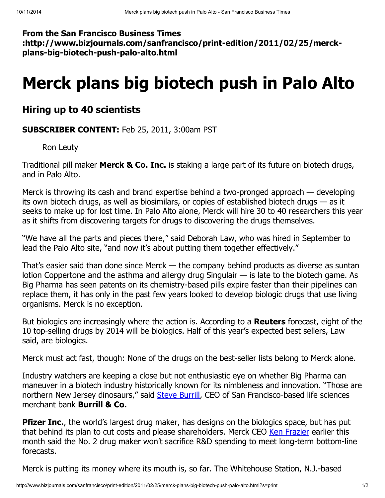From the San Francisco Business Times :http://www.bizjournals.com/sanfrancisco/print-edition/2011/02/25/merckplans-big-biotech-push-palo-alto.html

## Merck plans big biotech push in Palo Alto

## Hiring up to 40 scientists

SUBSCRIBER CONTENT: Feb 25, 2011, 3:00am PST

Ron Leuty

Traditional pill maker **Merck & Co. Inc.** is staking a large part of its future on biotech drugs, and in Palo Alto.

Merck is throwing its cash and brand expertise behind a two-pronged approach — developing its own biotech drugs, as well as biosimilars, or copies of established biotech drugs — as it seeks to make up for lost time. In Palo Alto alone, Merck will hire 30 to 40 researchers this year as it shifts from discovering targets for drugs to discovering the drugs themselves.

"We have all the parts and pieces there," said Deborah Law, who was hired in September to lead the Palo Alto site, "and now it's about putting them together effectively."

That's easier said than done since Merck — the company behind products as diverse as suntan lotion Coppertone and the asthma and allergy drug Singulair — is late to the biotech game. As Big Pharma has seen patents on its chemistry-based pills expire faster than their pipelines can replace them, it has only in the past few years looked to develop biologic drugs that use living organisms. Merck is no exception.

But biologics are increasingly where the action is. According to a **Reuters** forecast, eight of the 10 top-selling drugs by 2014 will be biologics. Half of this year's expected best sellers, Law said, are biologics.

Merck must act fast, though: None of the drugs on the best-seller lists belong to Merck alone.

Industry watchers are keeping a close but not enthusiastic eye on whether Big Pharma can maneuver in a biotech industry historically known for its nimbleness and innovation. "Those are northern New Jersey dinosaurs," said Steve [Burrill,](http://www.bizjournals.com/sanfrancisco/search/results?q=Steve%20Burrill) CEO of San Francisco-based life sciences merchant bank Burrill & Co.

**Pfizer Inc.**, the world's largest drug maker, has designs on the biologics space, but has put that behind its plan to cut costs and please shareholders. Merck CEO Ken [Frazier](http://www.bizjournals.com/sanfrancisco/search/results?q=Ken%20Frazier) earlier this month said the No. 2 drug maker won't sacrifice R&D spending to meet long-term bottom-line forecasts.

Merck is putting its money where its mouth is, so far. The Whitehouse Station, N.J.-based